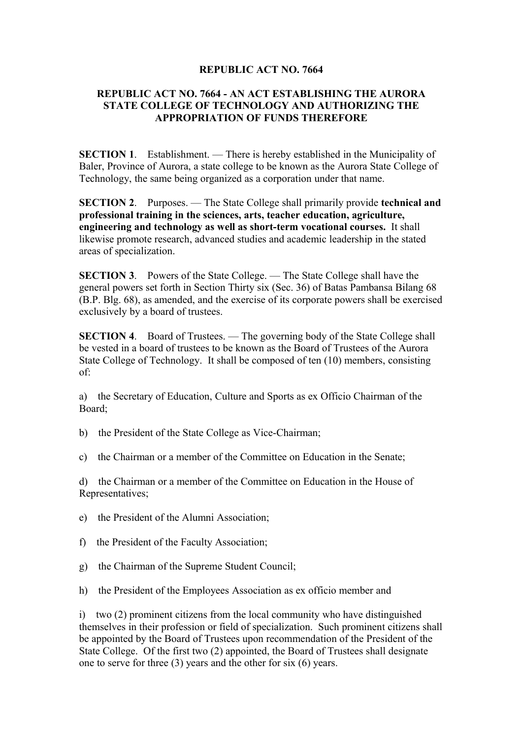## **REPUBLIC ACT NO. 7664**

## **REPUBLIC ACT NO. 7664 - AN ACT ESTABLISHING THE AURORA STATE COLLEGE OF TECHNOLOGY AND AUTHORIZING THE APPROPRIATION OF FUNDS THEREFORE**

**SECTION 1.** Establishment. — There is hereby established in the Municipality of Baler, Province of Aurora, a state college to be known as the Aurora State College of Technology, the same being organized as a corporation under that name.

**SECTION 2**. Purposes. — The State College shall primarily provide **technical and professional training in the sciences, arts, teacher education, agriculture, engineering and technology as well as short-term vocational courses.** It shall likewise promote research, advanced studies and academic leadership in the stated areas of specialization.

**SECTION 3**. Powers of the State College. — The State College shall have the general powers set forth in Section Thirty six (Sec. 36) of Batas Pambansa Bilang 68 (B.P. Blg. 68), as amended, and the exercise of its corporate powers shall be exercised exclusively by a board of trustees.

**SECTION 4.** Board of Trustees. — The governing body of the State College shall be vested in a board of trustees to be known as the Board of Trustees of the Aurora State College of Technology. It shall be composed of ten (10) members, consisting of:

a) the Secretary of Education, Culture and Sports as ex Officio Chairman of the Board;

- b) the President of the State College as Vice-Chairman;
- c) the Chairman or a member of the Committee on Education in the Senate;

d) the Chairman or a member of the Committee on Education in the House of Representatives;

- e) the President of the Alumni Association;
- f) the President of the Faculty Association;
- g) the Chairman of the Supreme Student Council;
- h) the President of the Employees Association as ex officio member and

i) two (2) prominent citizens from the local community who have distinguished themselves in their profession or field of specialization. Such prominent citizens shall be appointed by the Board of Trustees upon recommendation of the President of the State College. Of the first two (2) appointed, the Board of Trustees shall designate one to serve for three (3) years and the other for six (6) years.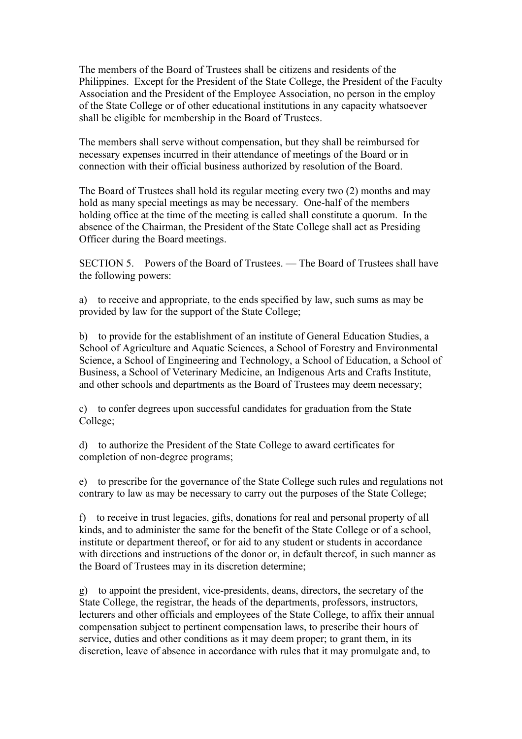The members of the Board of Trustees shall be citizens and residents of the Philippines. Except for the President of the State College, the President of the Faculty Association and the President of the Employee Association, no person in the employ of the State College or of other educational institutions in any capacity whatsoever shall be eligible for membership in the Board of Trustees.

The members shall serve without compensation, but they shall be reimbursed for necessary expenses incurred in their attendance of meetings of the Board or in connection with their official business authorized by resolution of the Board.

The Board of Trustees shall hold its regular meeting every two (2) months and may hold as many special meetings as may be necessary. One-half of the members holding office at the time of the meeting is called shall constitute a quorum. In the absence of the Chairman, the President of the State College shall act as Presiding Officer during the Board meetings.

SECTION 5. Powers of the Board of Trustees. — The Board of Trustees shall have the following powers:

a) to receive and appropriate, to the ends specified by law, such sums as may be provided by law for the support of the State College;

b) to provide for the establishment of an institute of General Education Studies, a School of Agriculture and Aquatic Sciences, a School of Forestry and Environmental Science, a School of Engineering and Technology, a School of Education, a School of Business, a School of Veterinary Medicine, an Indigenous Arts and Crafts Institute, and other schools and departments as the Board of Trustees may deem necessary;

c) to confer degrees upon successful candidates for graduation from the State College;

d) to authorize the President of the State College to award certificates for completion of non-degree programs;

e) to prescribe for the governance of the State College such rules and regulations not contrary to law as may be necessary to carry out the purposes of the State College;

f) to receive in trust legacies, gifts, donations for real and personal property of all kinds, and to administer the same for the benefit of the State College or of a school, institute or department thereof, or for aid to any student or students in accordance with directions and instructions of the donor or, in default thereof, in such manner as the Board of Trustees may in its discretion determine;

g) to appoint the president, vice-presidents, deans, directors, the secretary of the State College, the registrar, the heads of the departments, professors, instructors, lecturers and other officials and employees of the State College, to affix their annual compensation subject to pertinent compensation laws, to prescribe their hours of service, duties and other conditions as it may deem proper; to grant them, in its discretion, leave of absence in accordance with rules that it may promulgate and, to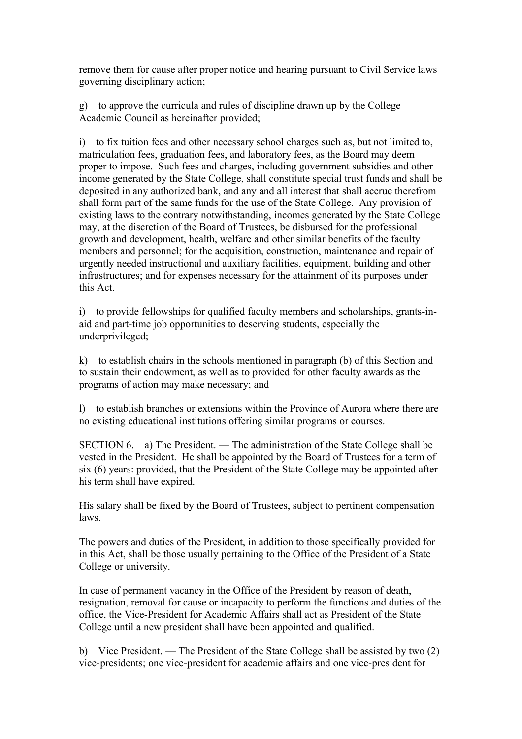remove them for cause after proper notice and hearing pursuant to Civil Service laws governing disciplinary action;

g) to approve the curricula and rules of discipline drawn up by the College Academic Council as hereinafter provided;

i) to fix tuition fees and other necessary school charges such as, but not limited to, matriculation fees, graduation fees, and laboratory fees, as the Board may deem proper to impose. Such fees and charges, including government subsidies and other income generated by the State College, shall constitute special trust funds and shall be deposited in any authorized bank, and any and all interest that shall accrue therefrom shall form part of the same funds for the use of the State College. Any provision of existing laws to the contrary notwithstanding, incomes generated by the State College may, at the discretion of the Board of Trustees, be disbursed for the professional growth and development, health, welfare and other similar benefits of the faculty members and personnel; for the acquisition, construction, maintenance and repair of urgently needed instructional and auxiliary facilities, equipment, building and other infrastructures; and for expenses necessary for the attainment of its purposes under this Act.

i) to provide fellowships for qualified faculty members and scholarships, grants-inaid and part-time job opportunities to deserving students, especially the underprivileged;

k) to establish chairs in the schools mentioned in paragraph (b) of this Section and to sustain their endowment, as well as to provided for other faculty awards as the programs of action may make necessary; and

l) to establish branches or extensions within the Province of Aurora where there are no existing educational institutions offering similar programs or courses.

SECTION 6. a) The President. — The administration of the State College shall be vested in the President. He shall be appointed by the Board of Trustees for a term of six (6) years: provided, that the President of the State College may be appointed after his term shall have expired.

His salary shall be fixed by the Board of Trustees, subject to pertinent compensation laws.

The powers and duties of the President, in addition to those specifically provided for in this Act, shall be those usually pertaining to the Office of the President of a State College or university.

In case of permanent vacancy in the Office of the President by reason of death, resignation, removal for cause or incapacity to perform the functions and duties of the office, the Vice-President for Academic Affairs shall act as President of the State College until a new president shall have been appointed and qualified.

b) Vice President. — The President of the State College shall be assisted by two (2) vice-presidents; one vice-president for academic affairs and one vice-president for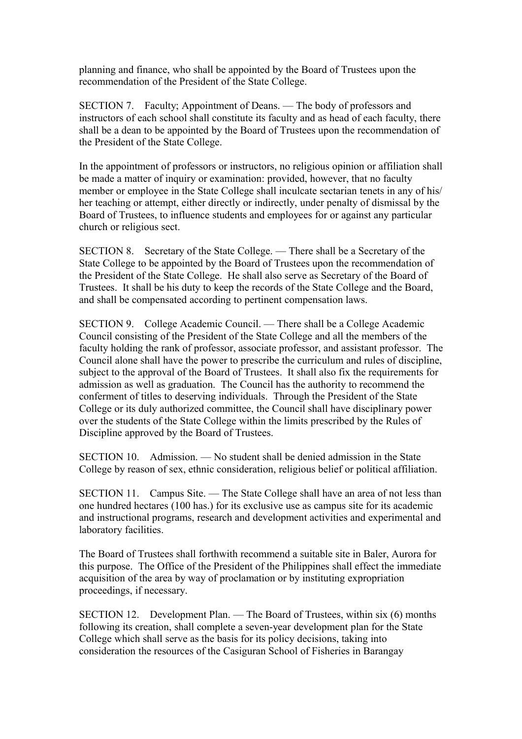planning and finance, who shall be appointed by the Board of Trustees upon the recommendation of the President of the State College.

SECTION 7. Faculty; Appointment of Deans. — The body of professors and instructors of each school shall constitute its faculty and as head of each faculty, there shall be a dean to be appointed by the Board of Trustees upon the recommendation of the President of the State College.

In the appointment of professors or instructors, no religious opinion or affiliation shall be made a matter of inquiry or examination: provided, however, that no faculty member or employee in the State College shall inculcate sectarian tenets in any of his/ her teaching or attempt, either directly or indirectly, under penalty of dismissal by the Board of Trustees, to influence students and employees for or against any particular church or religious sect.

SECTION 8. Secretary of the State College. — There shall be a Secretary of the State College to be appointed by the Board of Trustees upon the recommendation of the President of the State College. He shall also serve as Secretary of the Board of Trustees. It shall be his duty to keep the records of the State College and the Board, and shall be compensated according to pertinent compensation laws.

SECTION 9. College Academic Council. — There shall be a College Academic Council consisting of the President of the State College and all the members of the faculty holding the rank of professor, associate professor, and assistant professor. The Council alone shall have the power to prescribe the curriculum and rules of discipline, subject to the approval of the Board of Trustees. It shall also fix the requirements for admission as well as graduation. The Council has the authority to recommend the conferment of titles to deserving individuals. Through the President of the State College or its duly authorized committee, the Council shall have disciplinary power over the students of the State College within the limits prescribed by the Rules of Discipline approved by the Board of Trustees.

SECTION 10. Admission. — No student shall be denied admission in the State College by reason of sex, ethnic consideration, religious belief or political affiliation.

SECTION 11. Campus Site. — The State College shall have an area of not less than one hundred hectares (100 has.) for its exclusive use as campus site for its academic and instructional programs, research and development activities and experimental and laboratory facilities.

The Board of Trustees shall forthwith recommend a suitable site in Baler, Aurora for this purpose. The Office of the President of the Philippines shall effect the immediate acquisition of the area by way of proclamation or by instituting expropriation proceedings, if necessary.

SECTION 12. Development Plan. — The Board of Trustees, within six (6) months following its creation, shall complete a seven-year development plan for the State College which shall serve as the basis for its policy decisions, taking into consideration the resources of the Casiguran School of Fisheries in Barangay